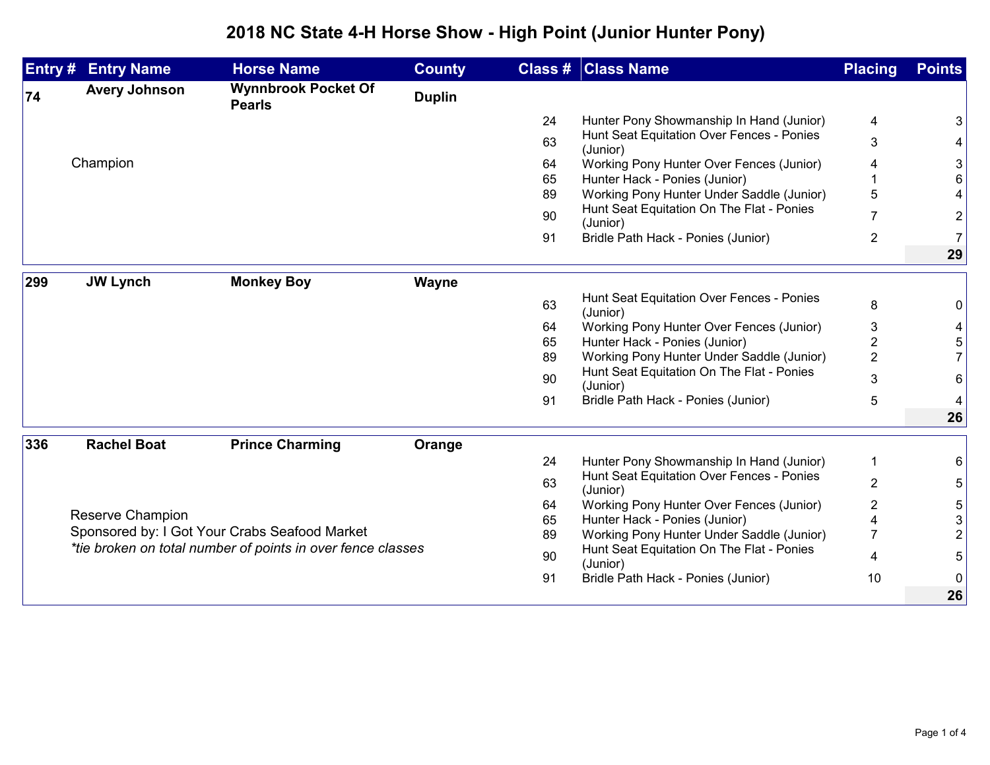## **2018 NC State 4-H Horse Show - High Point (Junior Hunter Pony)**

|     | <b>Entry # Entry Name</b>                                         | <b>Horse Name</b>                           | <b>County</b> |    | <b>Class # Class Name</b>                             | <b>Placing</b> | <b>Points</b>  |
|-----|-------------------------------------------------------------------|---------------------------------------------|---------------|----|-------------------------------------------------------|----------------|----------------|
| 74  | <b>Avery Johnson</b>                                              | <b>Wynnbrook Pocket Of</b><br><b>Pearls</b> | <b>Duplin</b> |    |                                                       |                |                |
|     |                                                                   |                                             |               | 24 | Hunter Pony Showmanship In Hand (Junior)              | 4              | 3              |
|     |                                                                   |                                             |               | 63 | Hunt Seat Equitation Over Fences - Ponies<br>(Junior) | 3              | 4              |
|     | Champion                                                          |                                             |               | 64 | Working Pony Hunter Over Fences (Junior)              | 4              | 3              |
|     |                                                                   |                                             |               | 65 | Hunter Hack - Ponies (Junior)                         |                | 6              |
|     |                                                                   |                                             |               | 89 | Working Pony Hunter Under Saddle (Junior)             | 5              | 4              |
|     |                                                                   |                                             |               | 90 | Hunt Seat Equitation On The Flat - Ponies<br>(Junior) |                | $\overline{c}$ |
|     |                                                                   |                                             |               | 91 | Bridle Path Hack - Ponies (Junior)                    | $\overline{2}$ | $\overline{7}$ |
|     |                                                                   |                                             |               |    |                                                       |                | 29             |
| 299 | <b>JW Lynch</b>                                                   | <b>Monkey Boy</b>                           | Wayne         |    |                                                       |                |                |
|     |                                                                   |                                             |               | 63 | Hunt Seat Equitation Over Fences - Ponies<br>(Junior) | 8              | 0              |
|     |                                                                   |                                             |               | 64 | Working Pony Hunter Over Fences (Junior)              | 3              | 4              |
|     |                                                                   |                                             |               | 65 | Hunter Hack - Ponies (Junior)                         | $\overline{2}$ | 5              |
|     |                                                                   |                                             |               | 89 | Working Pony Hunter Under Saddle (Junior)             | $\overline{2}$ |                |
|     |                                                                   |                                             |               | 90 | Hunt Seat Equitation On The Flat - Ponies<br>(Junior) | 3              | 6              |
|     |                                                                   |                                             |               | 91 | Bridle Path Hack - Ponies (Junior)                    | 5              | 4              |
|     |                                                                   |                                             |               |    |                                                       |                | 26             |
| 336 | <b>Rachel Boat</b>                                                | <b>Prince Charming</b>                      | Orange        |    |                                                       |                |                |
|     |                                                                   |                                             |               | 24 | Hunter Pony Showmanship In Hand (Junior)              | -1             | 6              |
|     |                                                                   |                                             |               | 63 | Hunt Seat Equitation Over Fences - Ponies<br>(Junior) | $\overline{2}$ | 5              |
|     |                                                                   |                                             |               | 64 | Working Pony Hunter Over Fences (Junior)              | 2              | 5              |
|     | Reserve Champion<br>Sponsored by: I Got Your Crabs Seafood Market |                                             |               | 65 | Hunter Hack - Ponies (Junior)                         |                | 3              |
|     |                                                                   |                                             |               | 89 | Working Pony Hunter Under Saddle (Junior)             | $\overline{7}$ | $\overline{2}$ |
|     | *tie broken on total number of points in over fence classes       |                                             |               | 90 | Hunt Seat Equitation On The Flat - Ponies<br>(Junior) | 4              | 5              |
|     |                                                                   |                                             |               | 91 | Bridle Path Hack - Ponies (Junior)                    | 10             | $\Omega$       |
|     |                                                                   |                                             |               |    |                                                       |                | 26             |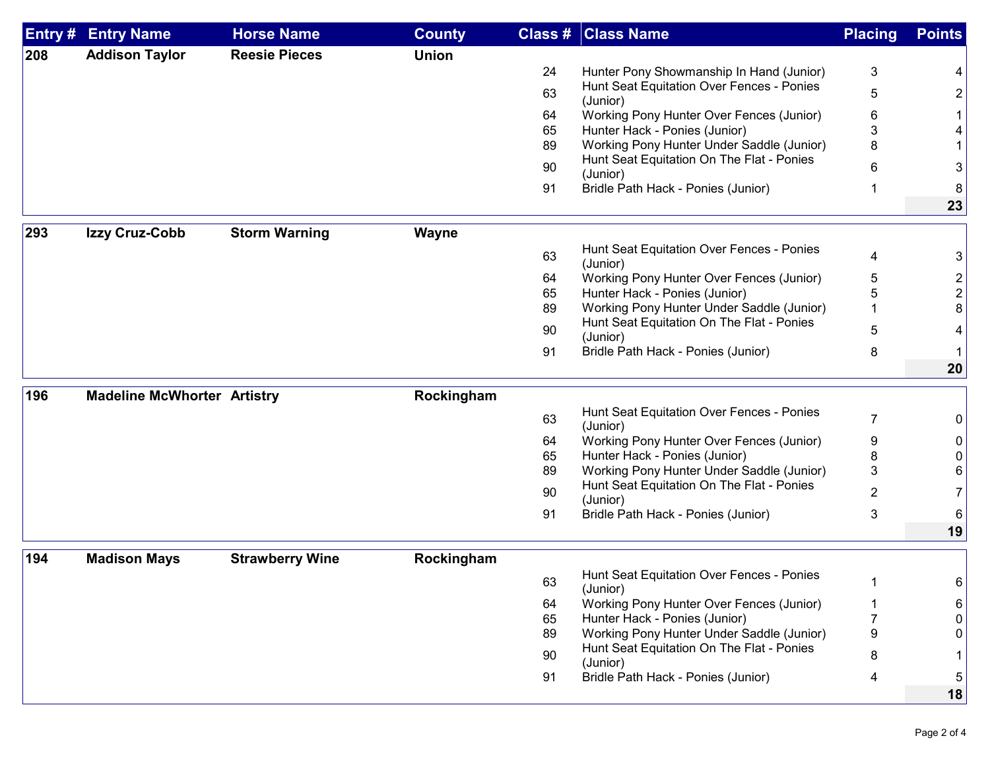| Entry # | <b>Entry Name</b>                  | <b>Horse Name</b>      | <b>County</b> | Class # | <b>Class Name</b>                                     | <b>Placing</b> | <b>Points</b>  |
|---------|------------------------------------|------------------------|---------------|---------|-------------------------------------------------------|----------------|----------------|
| 208     | <b>Addison Taylor</b>              | <b>Reesie Pieces</b>   | <b>Union</b>  |         |                                                       |                |                |
|         |                                    |                        |               | 24      | Hunter Pony Showmanship In Hand (Junior)              | 3              | 4              |
|         |                                    |                        |               | 63      | Hunt Seat Equitation Over Fences - Ponies<br>(Junior) | 5              | $\overline{2}$ |
|         |                                    |                        |               | 64      | Working Pony Hunter Over Fences (Junior)              | 6              |                |
|         |                                    |                        |               | 65      | Hunter Hack - Ponies (Junior)                         | 3              |                |
|         |                                    |                        |               | 89      | Working Pony Hunter Under Saddle (Junior)             | 8              |                |
|         |                                    |                        |               | 90      | Hunt Seat Equitation On The Flat - Ponies<br>(Junior) | 6              | 3              |
|         |                                    |                        |               | 91      | Bridle Path Hack - Ponies (Junior)                    |                | 8              |
|         |                                    |                        |               |         |                                                       |                | 23             |
|         |                                    |                        |               |         |                                                       |                |                |
| 293     | Izzy Cruz-Cobb                     | <b>Storm Warning</b>   | <b>Wayne</b>  |         | Hunt Seat Equitation Over Fences - Ponies             |                |                |
|         |                                    |                        |               | 63      | (Junior)                                              | 4              | 3              |
|         |                                    |                        |               | 64      | Working Pony Hunter Over Fences (Junior)              | 5              | $\overline{2}$ |
|         |                                    |                        |               | 65      | Hunter Hack - Ponies (Junior)                         | 5              | $\overline{2}$ |
|         |                                    |                        |               | 89      | Working Pony Hunter Under Saddle (Junior)             |                | 8              |
|         |                                    |                        |               | 90      | Hunt Seat Equitation On The Flat - Ponies             | 5              |                |
|         |                                    |                        |               | 91      | (Junior)<br>Bridle Path Hack - Ponies (Junior)        | 8              |                |
|         |                                    |                        |               |         |                                                       |                | 20             |
|         |                                    |                        |               |         |                                                       |                |                |
| 196     | <b>Madeline McWhorter Artistry</b> |                        | Rockingham    |         |                                                       |                |                |
|         |                                    |                        |               | 63      | Hunt Seat Equitation Over Fences - Ponies<br>(Junior) | $\overline{7}$ | 0              |
|         |                                    |                        |               | 64      | Working Pony Hunter Over Fences (Junior)              | 9              | 0              |
|         |                                    |                        |               | 65      | Hunter Hack - Ponies (Junior)                         | 8              | 0              |
|         |                                    |                        |               | 89      | Working Pony Hunter Under Saddle (Junior)             | 3              | 6              |
|         |                                    |                        |               | 90      | Hunt Seat Equitation On The Flat - Ponies<br>(Junior) | $\overline{2}$ | $\overline{7}$ |
|         |                                    |                        |               | 91      | Bridle Path Hack - Ponies (Junior)                    | 3              | 6              |
|         |                                    |                        |               |         |                                                       |                | 19             |
| 194     | <b>Madison Mays</b>                | <b>Strawberry Wine</b> | Rockingham    |         |                                                       |                |                |
|         |                                    |                        |               |         | Hunt Seat Equitation Over Fences - Ponies             |                |                |
|         |                                    |                        |               | 63      | (Junior)                                              | 1              | 6              |
|         |                                    |                        |               | 64      | Working Pony Hunter Over Fences (Junior)              | 1              | 6              |
|         |                                    |                        |               | 65      | Hunter Hack - Ponies (Junior)                         | $\overline{7}$ | $\Omega$       |
|         |                                    |                        |               | 89      | Working Pony Hunter Under Saddle (Junior)             | 9              | 0              |
|         |                                    |                        |               | 90      | Hunt Seat Equitation On The Flat - Ponies<br>(Junior) | 8              |                |
|         |                                    |                        |               | 91      | Bridle Path Hack - Ponies (Junior)                    | 4              | 5              |
|         |                                    |                        |               |         |                                                       |                | 18             |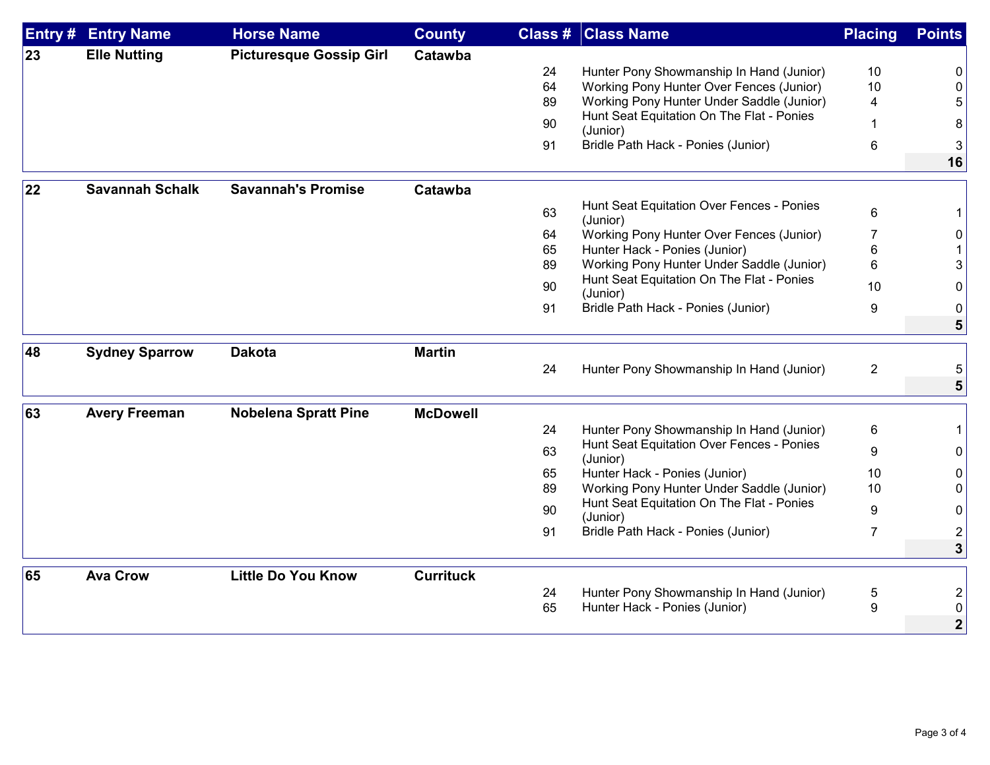| Entry # | <b>Entry Name</b>      | <b>Horse Name</b>              | <b>County</b>    |    | <b>Class # Class Name</b>                             | <b>Placing</b> | <b>Points</b>  |
|---------|------------------------|--------------------------------|------------------|----|-------------------------------------------------------|----------------|----------------|
| 23      | <b>Elle Nutting</b>    | <b>Picturesque Gossip Girl</b> | Catawba          |    |                                                       |                |                |
|         |                        |                                |                  | 24 | Hunter Pony Showmanship In Hand (Junior)              | 10             | 0              |
|         |                        |                                |                  | 64 | Working Pony Hunter Over Fences (Junior)              | 10             | $\Omega$       |
|         |                        |                                |                  | 89 | Working Pony Hunter Under Saddle (Junior)             | 4              | 5              |
|         |                        |                                |                  | 90 | Hunt Seat Equitation On The Flat - Ponies<br>(Junior) |                | 8              |
|         |                        |                                |                  | 91 | Bridle Path Hack - Ponies (Junior)                    | $\,6$          | 3              |
|         |                        |                                |                  |    |                                                       |                | 16             |
|         |                        |                                |                  |    |                                                       |                |                |
| 22      | <b>Savannah Schalk</b> | <b>Savannah's Promise</b>      | Catawba          |    |                                                       |                |                |
|         |                        |                                |                  | 63 | Hunt Seat Equitation Over Fences - Ponies<br>(Junior) | 6              | 1              |
|         |                        |                                |                  | 64 | Working Pony Hunter Over Fences (Junior)              | 7              | 0              |
|         |                        |                                |                  | 65 | Hunter Hack - Ponies (Junior)                         | 6              |                |
|         |                        |                                |                  | 89 | Working Pony Hunter Under Saddle (Junior)             | 6              | 3              |
|         |                        |                                |                  | 90 | Hunt Seat Equitation On The Flat - Ponies<br>(Junior) | 10             | 0              |
|         |                        |                                |                  | 91 | Bridle Path Hack - Ponies (Junior)                    | 9              | 0              |
|         |                        |                                |                  |    |                                                       |                | 5              |
| 48      | <b>Sydney Sparrow</b>  | <b>Dakota</b>                  | <b>Martin</b>    |    |                                                       |                |                |
|         |                        |                                |                  | 24 | Hunter Pony Showmanship In Hand (Junior)              | $\overline{2}$ |                |
|         |                        |                                |                  |    |                                                       |                | 5              |
|         |                        |                                |                  |    |                                                       |                |                |
| 63      | <b>Avery Freeman</b>   | <b>Nobelena Spratt Pine</b>    | <b>McDowell</b>  |    |                                                       |                |                |
|         |                        |                                |                  | 24 | Hunter Pony Showmanship In Hand (Junior)              | 6              | $\mathbf{1}$   |
|         |                        |                                |                  | 63 | Hunt Seat Equitation Over Fences - Ponies<br>(Junior) | 9              | 0              |
|         |                        |                                |                  | 65 | Hunter Hack - Ponies (Junior)                         | 10             | 0              |
|         |                        |                                |                  | 89 | Working Pony Hunter Under Saddle (Junior)             | 10             | $\Omega$       |
|         |                        |                                |                  | 90 | Hunt Seat Equitation On The Flat - Ponies<br>(Junior) | 9              | 0              |
|         |                        |                                |                  | 91 | Bridle Path Hack - Ponies (Junior)                    | $\overline{7}$ | $\overline{2}$ |
|         |                        |                                |                  |    |                                                       |                | 3              |
|         |                        |                                |                  |    |                                                       |                |                |
| 65      | <b>Ava Crow</b>        | <b>Little Do You Know</b>      | <b>Currituck</b> |    |                                                       |                |                |
|         |                        |                                |                  | 24 | Hunter Pony Showmanship In Hand (Junior)              | 5              | 2              |
|         |                        |                                |                  | 65 | Hunter Hack - Ponies (Junior)                         | 9              | 0              |
|         |                        |                                |                  |    |                                                       |                | $\mathbf{2}$   |